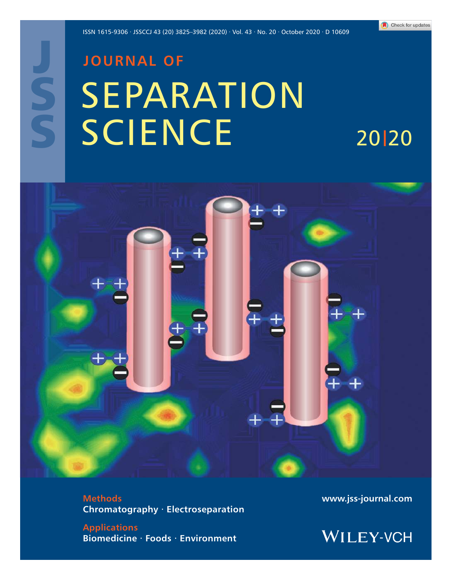20 20

# J S S

## **JOURNAL OF** SEPARATION **SCIENCE**



**Methods Chromatography · Electroseparation**

**Applications Biomedicine · Foods · Environment** **www.jss-journal.com**

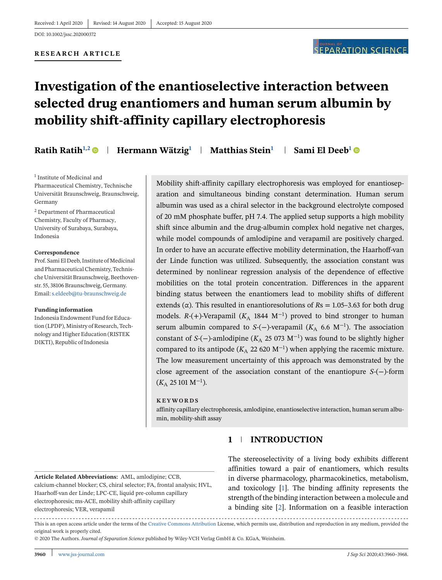#### **RESEARCH ARTICLE**

### **Investigation of the enantioselective interaction between selected drug enantiomers and human serum albumin by mobility shift-affinity capillary electrophoresis**

**Ratih Ratih<sup>1,2</sup>**  $\bullet$  **| Hermann Wätzig<sup>1</sup> | Matthias Stein<sup>1</sup> | Sami El Deeb<sup>1</sup>**  $\bullet$ 

<sup>1</sup> Institute of Medicinal and Pharmaceutical Chemistry, Technische Universität Braunschweig, Braunschweig, Germany

<sup>2</sup> Department of Pharmaceutical Chemistry, Faculty of Pharmacy, University of Surabaya, Surabaya, Indonesia

#### **Correspondence**

Prof. Sami El Deeb, Institute of Medicinal and Pharmaceutical Chemistry, Technische Universität Braunschweig, Beethovenstr. 55, 38106 Braunschweig, Germany. Email:s.eldeeb@tu-braunschweig.de

#### **Funding information**

Indonesia Endowment Fund for Education (LPDP), Ministry of Research, Technology and Higher Education (RISTEK DIKTI), Republic of Indonesia

Mobility shift-affinity capillary electrophoresis was employed for enantioseparation and simultaneous binding constant determination. Human serum albumin was used as a chiral selector in the background electrolyte composed of 20 mM phosphate buffer, pH 7.4. The applied setup supports a high mobility shift since albumin and the drug-albumin complex hold negative net charges, while model compounds of amlodipine and verapamil are positively charged. In order to have an accurate effective mobility determination, the Haarhoff-van der Linde function was utilized. Subsequently, the association constant was determined by nonlinear regression analysis of the dependence of effective mobilities on the total protein concentration. Differences in the apparent binding status between the enantiomers lead to mobility shifts of different extends ( $\alpha$ ). This resulted in enantioresolutions of  $Rs = 1.05-3.63$  for both drug models.  $R-(+)$ -Verapamil ( $K_A$  1844 M<sup>-1</sup>) proved to bind stronger to human serum albumin compared to *S*-(−)-verapamil ( $K_A$  6.6 M<sup>-1</sup>). The association constant of *S*-(−)-amlodipine (*K*<sup>A</sup> 25 073 M−<sup>1</sup> ) was found to be slightly higher compared to its antipode ( $K_A$  22 620 M<sup>-1</sup>) when applying the racemic mixture. The low measurement uncertainty of this approach was demonstrated by the close agreement of the association constant of the enantiopure *S*-(−)-form  $(K_A 25101 M^{-1}).$ 

#### **KEYWORDS**

affinity capillary electrophoresis, amlodipine, enantioselective interaction, human serum albumin, mobility-shift assay

#### **1 INTRODUCTION**

**Article Related Abbreviations:** AML, amlodipine; CCB, calcium-channel blocker; CS, chiral selector; FA, frontal analysis; HVL, Haarhoff-van der Linde; LPC-CE, liquid pre-column capillary electrophoresis; ms-ACE, mobility shift-affinity capillary electrophoresis; VER, verapamil

The stereoselectivity of a living body exhibits different affinities toward a pair of enantiomers, which results in diverse pharmacology, pharmacokinetics, metabolism, and toxicology [1]. The binding affinity represents the strength of the binding interaction between a molecule and a binding site [2]. Information on a feasible interaction

---------------------This is an open access article under the terms of the Creative Commons Attribution License, which permits use, distribution and reproduction in any medium, provided the original work is properly cited.

© 2020 The Authors. *Journal of Separation Science* published by Wiley-VCH Verlag GmbH & Co. KGaA, Weinheim.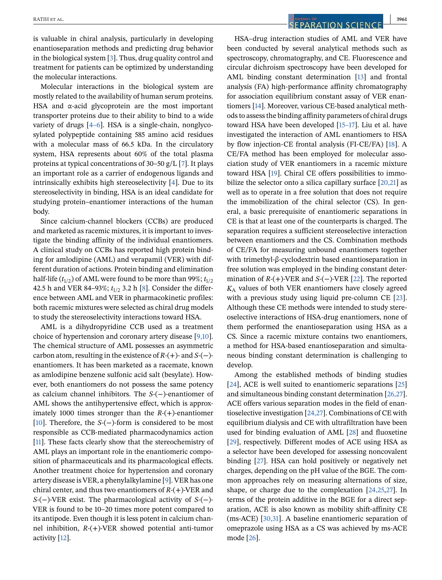is valuable in chiral analysis, particularly in developing enantioseparation methods and predicting drug behavior in the biological system [3]. Thus, drug quality control and treatment for patients can be optimized by understanding the molecular interactions.

Molecular interactions in the biological system are mostly related to the availability of human serum proteins. HSA and  $\alpha$ -acid glycoprotein are the most important transporter proteins due to their ability to bind to a wide variety of drugs [4–6]. HSA is a single-chain, nonglycosylated polypeptide containing 585 amino acid residues with a molecular mass of 66.5 kDa. In the circulatory system, HSA represents about 60% of the total plasma proteins at typical concentrations of 30–50 g/L [7]. It plays an important role as a carrier of endogenous ligands and intrinsically exhibits high stereoselectivity [4]. Due to its stereoselectivity in binding, HSA is an ideal candidate for studying protein–enantiomer interactions of the human body.

Since calcium-channel blockers (CCBs) are produced and marketed as racemic mixtures, it is important to investigate the binding affinity of the individual enantiomers. A clinical study on CCBs has reported high protein binding for amlodipine (AML) and verapamil (VER) with different duration of actions. Protein binding and elimination half-life  $(t_{1/2})$  of AML were found to be more than 99%;  $t_{1/2}$ 42.5 h and VER 84-93%;  $t_{1/2}$  3.2 h [8]. Consider the difference between AML and VER in pharmacokinetic profiles: both racemic mixtures were selected as chiral drug models to study the stereoselectivity interactions toward HSA.

AML is a dihydropyridine CCB used as a treatment choice of hypertension and coronary artery disease [9,10]. The chemical structure of AML possesses an asymmetric carbon atom, resulting in the existence of *R*-(+)- and *S*-(−) enantiomers. It has been marketed as a racemate, known as amlodipine benzene sulfonic acid salt (besylate). However, both enantiomers do not possess the same potency as calcium channel inhibitors. The *S*-(−)-enantiomer of AML shows the antihypertensive effect, which is approximately 1000 times stronger than the *R*-(+)-enantiomer [10]. Therefore, the *S*-(−)-form is considered to be most responsible as CCB-mediated pharmacodynamics action [11]. These facts clearly show that the stereochemistry of AML plays an important role in the enantiomeric composition of pharmaceuticals and its pharmacological effects. Another treatment choice for hypertension and coronary artery disease is VER, a phenylalkylamine [9]. VER has one chiral center, and thus two enantiomers of *R*-(+)-VER and *S*-(−)-VER exist. The pharmacological activity of *S*-(−)- VER is found to be 10–20 times more potent compared to its antipode. Even though it is less potent in calcium channel inhibition, *R*-(+)-VER showed potential anti-tumor activity [12].

HSA–drug interaction studies of AML and VER have been conducted by several analytical methods such as spectroscopy, chromatography, and CE. Fluorescence and circular dichroism spectroscopy have been developed for AML binding constant determination [13] and frontal analysis (FA) high-performance affinity chromatography for association equilibrium constant assay of VER enantiomers [14]. Moreover, various CE-based analytical methods to assess the binding affinity parameters of chiral drugs toward HSA have been developed [15–17]. Liu et al. have investigated the interaction of AML enantiomers to HSA by flow injection-CE frontal analysis (FI-CE/FA) [18]. A CE/FA method has been employed for molecular association study of VER enantiomers in a racemic mixture toward HSA [19]. Chiral CE offers possibilities to immobilize the selector onto a silica capillary surface [20,21] as well as to operate in a free solution that does not require the immobilization of the chiral selector (CS). In general, a basic prerequisite of enantiomeric separations in CE is that at least one of the counterparts is charged. The separation requires a sufficient stereoselective interaction between enantiomers and the CS. Combination methods of CE/FA for measuring unbound enantiomers together with trimethyl-β-cyclodextrin based enantioseparation in free solution was employed in the binding constant determination of *R*-(+)-VER and *S*-(−)-VER [22]. The reported *K*<sup>A</sup> values of both VER enantiomers have closely agreed with a previous study using liquid pre-column CE [23]. Although these CE methods were intended to study stereoselective interactions of HSA-drug enantiomers, none of them performed the enantioseparation using HSA as a CS. Since a racemic mixture contains two enantiomers, a method for HSA-based enantioseparation and simultaneous binding constant determination is challenging to develop.

Among the established methods of binding studies [24], ACE is well suited to enantiomeric separations [25] and simultaneous binding constant determination [26,27]. ACE offers various separation modes in the field of enantioselective investigation [24,27]. Combinations of CE with equilibrium dialysis and CE with ultrafiltration have been used for binding evaluation of AML [28] and fluoxetine [29], respectively. Different modes of ACE using HSA as a selector have been developed for assessing noncovalent binding [27]. HSA can hold positively or negatively net charges, depending on the pH value of the BGE. The common approaches rely on measuring alternations of size, shape, or charge due to the complexation [24,25,27]. In terms of the protein additive in the BGE for a direct separation, ACE is also known as mobility shift-affinity CE (ms-ACE) [30,31]. A baseline enantiomeric separation of omeprazole using HSA as a CS was achieved by ms-ACE mode [26].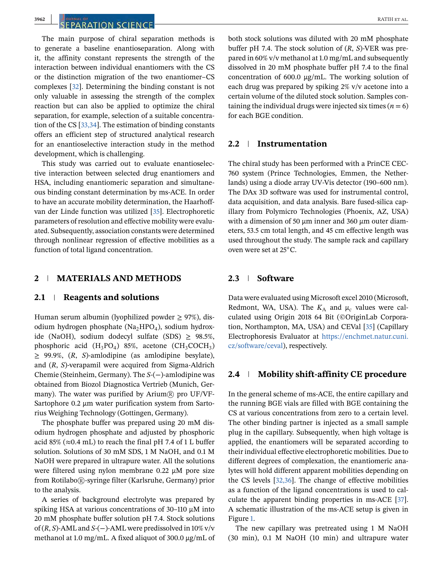#### **3962** RATIH ET AL.

The main purpose of chiral separation methods is to generate a baseline enantioseparation. Along with it, the affinity constant represents the strength of the interaction between individual enantiomers with the CS or the distinction migration of the two enantiomer–CS complexes [32]. Determining the binding constant is not only valuable in assessing the strength of the complex reaction but can also be applied to optimize the chiral separation, for example, selection of a suitable concentration of the CS [33,34]. The estimation of binding constants offers an efficient step of structured analytical research for an enantioselective interaction study in the method development, which is challenging.

This study was carried out to evaluate enantioselective interaction between selected drug enantiomers and HSA, including enantiomeric separation and simultaneous binding constant determination by ms-ACE. In order to have an accurate mobility determination, the Haarhoffvan der Linde function was utilized [35]. Electrophoretic parameters of resolution and effective mobility were evaluated. Subsequently, association constants were determined through nonlinear regression of effective mobilities as a function of total ligand concentration.

#### **2 MATERIALS AND METHODS**

#### **2.1 Reagents and solutions**

Human serum albumin (lyophilized powder  $\geq$  97%), disodium hydrogen phosphate (Na<sub>2</sub>HPO<sub>4</sub>), sodium hydroxide (NaOH), sodium dodecyl sulfate (SDS)  $\geq$  98.5%, phosphoric acid  $(H_3PO_4)$  85%, acetone  $(CH_3COCH_3)$ ≥ 99.9%, (*R*, *S*)-amlodipine (as amlodipine besylate), and (*R*, *S*)-verapamil were acquired from Sigma-Aldrich Chemie (Steinheim, Germany). The *S*-(−)-amlodipine was obtained from Biozol Diagnostica Vertrieb (Munich, Germany). The water was purified by Arium $\circledR$  pro UF/VF-Sartophore 0.2 μm water purification system from Sartorius Weighing Technology (Gottingen, Germany).

The phosphate buffer was prepared using 20 mM disodium hydrogen phosphate and adjusted by phosphoric acid 85% ( $\approx$ 0.4 mL) to reach the final pH 7.4 of 1 L buffer solution. Solutions of 30 mM SDS, 1 M NaOH, and 0.1 M NaOH were prepared in ultrapure water. All the solutions were filtered using nylon membrane 0.22 μM pore size from Rotilabo®-syringe filter (Karlsruhe, Germany) prior to the analysis.

A series of background electrolyte was prepared by spiking HSA at various concentrations of 30–110 μM into 20 mM phosphate buffer solution pH 7.4. Stock solutions of (*R*, *S*)-AML and *S*-(−)-AML were predissolved in 10% v/v methanol at 1.0 mg/mL. A fixed aliquot of 300.0 μg/mL of both stock solutions was diluted with 20 mM phosphate buffer pH 7.4. The stock solution of (*R*, *S*)-VER was prepared in 60% v/v methanol at 1.0 mg/mL and subsequently dissolved in 20 mM phosphate buffer pH 7.4 to the final concentration of 600.0 μg/mL. The working solution of each drug was prepared by spiking 2% v/v acetone into a certain volume of the diluted stock solution. Samples containing the individual drugs were injected six times  $(n = 6)$ for each BGE condition.

#### **2.2 Instrumentation**

The chiral study has been performed with a PrinCE CEC-760 system (Prince Technologies, Emmen, the Netherlands) using a diode array UV-Vis detector (190–600 nm). The DAx 3D software was used for instrumental control, data acquisition, and data analysis. Bare fused-silica capillary from Polymicro Technologies (Phoenix, AZ, USA) with a dimension of 50  $\mu$ m inner and 360  $\mu$ m outer diameters, 53.5 cm total length, and 45 cm effective length was used throughout the study. The sample rack and capillary oven were set at 25◦C.

#### **2.3 Software**

Data were evaluated using Microsoft excel 2010 (Microsoft, Redmont, WA, USA). The  $K_A$  and  $\mu_c$  values were calculated using Origin 2018 64 Bit (©OriginLab Corporation, Northampton, MA, USA) and CEVal [35] (Capillary Electrophoresis Evaluator at https://enchmet.natur.cuni. cz/software/ceval), respectively.

#### **2.4 Mobility shift-affinity CE procedure**

In the general scheme of ms-ACE, the entire capillary and the running BGE vials are filled with BGE containing the CS at various concentrations from zero to a certain level. The other binding partner is injected as a small sample plug in the capillary. Subsequently, when high voltage is applied, the enantiomers will be separated according to their individual effective electrophoretic mobilities. Due to different degrees of complexation, the enantiomeric analytes will hold different apparent mobilities depending on the CS levels [32,36]. The change of effective mobilities as a function of the ligand concentrations is used to calculate the apparent binding properties in ms-ACE [37]. A schematic illustration of the ms-ACE setup is given in Figure 1.

The new capillary was pretreated using 1 M NaOH (30 min), 0.1 M NaOH (10 min) and ultrapure water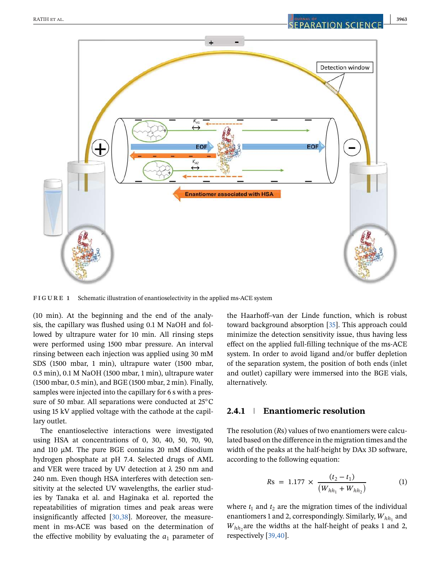

**FIGURE 1** Schematic illustration of enantioselectivity in the applied ms-ACE system

(10 min). At the beginning and the end of the analysis, the capillary was flushed using 0.1 M NaOH and followed by ultrapure water for 10 min. All rinsing steps were performed using 1500 mbar pressure. An interval rinsing between each injection was applied using 30 mM SDS (1500 mbar, 1 min), ultrapure water (1500 mbar, 0.5 min), 0.1 M NaOH (1500 mbar, 1 min), ultrapure water (1500 mbar, 0.5 min), and BGE (1500 mbar, 2 min). Finally, samples were injected into the capillary for 6 s with a pressure of 50 mbar. All separations were conducted at 25<sup>°</sup>C using 15 kV applied voltage with the cathode at the capillary outlet.

The enantioselective interactions were investigated using HSA at concentrations of 0, 30, 40, 50, 70, 90, and 110 μM. The pure BGE contains 20 mM disodium hydrogen phosphate at pH 7.4. Selected drugs of AML and VER were traced by UV detection at  $\lambda$  250 nm and 240 nm. Even though HSA interferes with detection sensitivity at the selected UV wavelengths, the earlier studies by Tanaka et al. and Haginaka et al. reported the repeatabilities of migration times and peak areas were insignificantly affected [30,38]. Moreover, the measurement in ms-ACE was based on the determination of the effective mobility by evaluating the  $a_1$  parameter of

the Haarhoff–van der Linde function, which is robust toward background absorption [35]. This approach could minimize the detection sensitivity issue, thus having less effect on the applied full-filling technique of the ms-ACE system. In order to avoid ligand and/or buffer depletion of the separation system, the position of both ends (inlet and outlet) capillary were immersed into the BGE vials, alternatively.

#### **2.4.1 Enantiomeric resolution**

The resolution (*R*s) values of two enantiomers were calculated based on the difference in the migration times and the width of the peaks at the half-height by DAx 3D software, according to the following equation:

$$
Rs = 1.177 \times \frac{(t_2 - t_1)}{(W_{hh_1} + W_{hh_2})}
$$
 (1)

where  $t_1$  and  $t_2$  are the migration times of the individual enantiomers 1 and 2, correspondingly. Similarly,  $W_{hh_1}$  and  $W_{hh_2}$  are the widths at the half-height of peaks 1 and 2, respectively [39,40].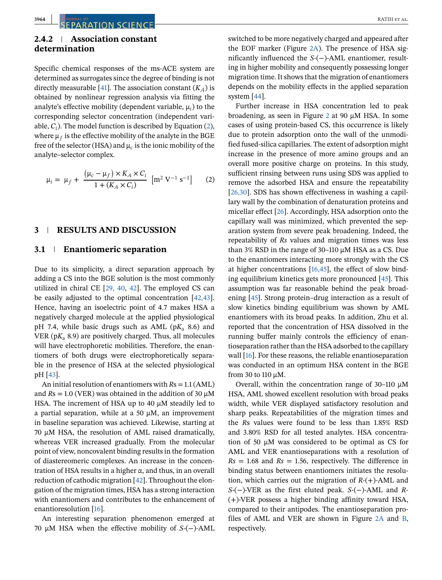#### **2.4.2 Association constant determination**

Specific chemical responses of the ms-ACE system are determined as surrogates since the degree of binding is not directly measurable [41]. The association constant  $(K_A)$  is obtained by nonlinear regression analysis via fitting the analyte's effective mobility (dependent variable,  $\mu_i$ ) to the corresponding selector concentration (independent variable,  $C_i$ ). The model function is described by Equation (2), where  $\mu_f$  is the effective mobility of the analyte in the BGE free of the selector (HSA) and  $\mu_c$  is the ionic mobility of the analyte–selector complex.

$$
\mu_{i} = \mu_{f} + \frac{(\mu_{c} - \mu_{f}) \times K_{A} \times C_{i}}{1 + (K_{A} \times C_{i})} \left[ m^{2} V^{-1} s^{-1} \right] \tag{2}
$$

#### **3 RESULTS AND DISCUSSION**

#### **3.1 Enantiomeric separation**

Due to its simplicity, a direct separation approach by adding a CS into the BGE solution is the most commonly utilized in chiral CE [29, 40, 42]. The employed CS can be easily adjusted to the optimal concentration [42,43]. Hence, having an isoelectric point of 4.7 makes HSA a negatively charged molecule at the applied physiological pH 7.4, while basic drugs such as AML ( $pK_a$  8.6) and VER ( $pK_a$  8.9) are positively charged. Thus, all molecules will have electrophoretic mobilities. Therefore, the enantiomers of both drugs were electrophoretically separable in the presence of HSA at the selected physiological pH [43].

An initial resolution of enantiomers with *R*s = 1.1 (AML) and  $Rs = 1.0$  (VER) was obtained in the addition of 30  $\mu$ M HSA. The increment of HSA up to 40 μM steadily led to a partial separation, while at a 50  $\mu$ M, an improvement in baseline separation was achieved. Likewise, starting at 70 μM HSA, the resolution of AML raised dramatically, whereas VER increased gradually. From the molecular point of view, noncovalent binding results in the formation of diastereomeric complexes. An increase in the concentration of HSA results in a higher  $\alpha$ , and thus, in an overall reduction of cathodic migration [42]. Throughout the elongation of the migration times, HSA has a strong interaction with enantiomers and contributes to the enhancement of enantioresolution [16].

An interesting separation phenomenon emerged at 70 μM HSA when the effective mobility of *S*-(−)-AML switched to be more negatively charged and appeared after the EOF marker (Figure 2A). The presence of HSA significantly influenced the *S*-(−)-AML enantiomer, resulting in higher mobility and consequently possessing longer migration time. It shows that the migration of enantiomers depends on the mobility effects in the applied separation system [44].

Further increase in HSA concentration led to peak broadening, as seen in Figure 2 at 90  $\mu$ M HSA. In some cases of using protein-based CS, this occurrence is likely due to protein adsorption onto the wall of the unmodified fused-silica capillaries. The extent of adsorption might increase in the presence of more amino groups and an overall more positive charge on proteins. In this study, sufficient rinsing between runs using SDS was applied to remove the adsorbed HSA and ensure the repeatability [26,30]. SDS has shown effectiveness in washing a capillary wall by the combination of denaturation proteins and micellar effect [26]. Accordingly, HSA adsorption onto the capillary wall was minimized, which prevented the separation system from severe peak broadening. Indeed, the repeatability of *Rs* values and migration times was less than 3% RSD in the range of 30–110  $\mu$ M HSA as a CS. Due to the enantiomers interacting more strongly with the CS at higher concentrations [16,45], the effect of slow binding equilibrium kinetics gets more pronounced [45]. This assumption was far reasonable behind the peak broadening [45]. Strong protein–drug interaction as a result of slow kinetics binding equilibrium was shown by AML enantiomers with its broad peaks. In addition, Zhu et al. reported that the concentration of HSA dissolved in the running buffer mainly controls the efficiency of enantioseparation rather than the HSA adsorbed to the capillary wall [16]. For these reasons, the reliable enantioseparation was conducted in an optimum HSA content in the BGE from 30 to 110 μM.

Overall, within the concentration range of 30–110  $\mu$ M HSA, AML showed excellent resolution with broad peaks width, while VER displayed satisfactory resolution and sharp peaks. Repeatabilities of the migration times and the *R*s values were found to be less than 1.85% RSD and 3.80% RSD for all tested analytes. HSA concentration of 50 μM was considered to be optimal as CS for AML and VER enantioseparations with a resolution of  $Rs = 1.68$  and  $Rs = 1.56$ , respectively. The difference in binding status between enantiomers initiates the resolution, which carries out the migration of *R-*(+)-AML and *S-*(−)-VER as the first eluted peak. *S-*(−)-AML and *R-* (+)-VER possess a higher binding affinity toward HSA, compared to their antipodes. The enantioseparation profiles of AML and VER are shown in Figure 2A and B, respectively.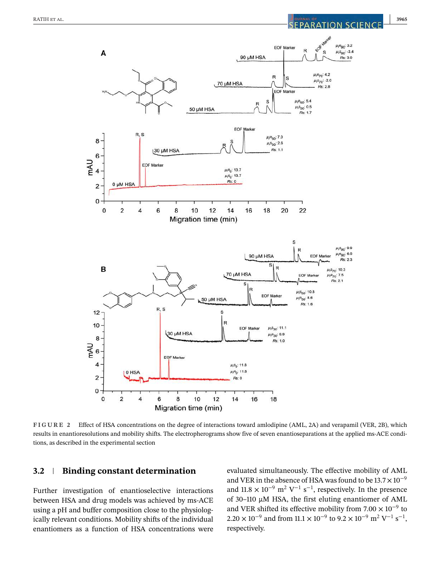

**FIGURE 2** Effect of HSA concentrations on the degree of interactions toward amlodipine (AML, 2A) and verapamil (VER, 2B), which results in enantioresolutions and mobility shifts. The electropherograms show five of seven enantioseparations at the applied ms-ACE conditions, as described in the experimental section

#### **3.2 Binding constant determination**

Further investigation of enantioselective interactions between HSA and drug models was achieved by ms-ACE using a pH and buffer composition close to the physiologically relevant conditions. Mobility shifts of the individual enantiomers as a function of HSA concentrations were evaluated simultaneously. The effective mobility of AML and VER in the absence of HSA was found to be  $13.7 \times 10^{-9}$ and  $11.8 \times 10^{-9}$  m<sup>2</sup> V<sup>-1</sup> s<sup>-1</sup>, respectively. In the presence of 30–110 μM HSA, the first eluting enantiomer of AML and VER shifted its effective mobility from  $7.00 \times 10^{-9}$  to  $2.20 \times 10^{-9}$  and from  $11.1 \times 10^{-9}$  to  $9.2 \times 10^{-9}$  m<sup>2</sup> V<sup>-1</sup> s<sup>-1</sup>, respectively.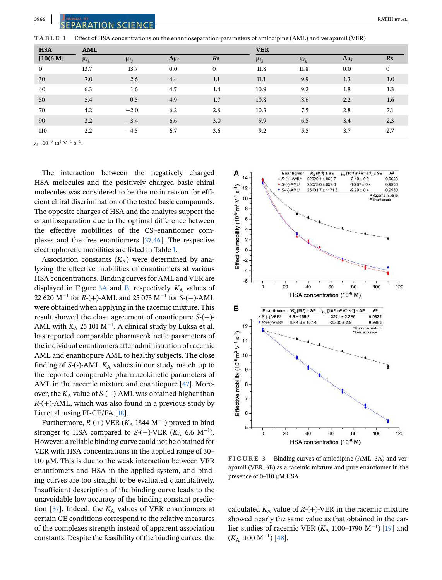| <b>HSA</b>   | AML              |             |                |                | <b>VER</b>  |             |                |                        |  |
|--------------|------------------|-------------|----------------|----------------|-------------|-------------|----------------|------------------------|--|
| $[10(6 M]$   | $\mu_{i_R}$      | $\mu_{i_S}$ | $\Delta \mu_i$ | R <sub>S</sub> | $\mu_{i_S}$ | $\mu_{i_R}$ | $\Delta \mu_i$ | $\mathbf{R}\mathbf{s}$ |  |
| $\mathbf{0}$ | 13.7             | 13.7        | 0.0            | $\mathbf{0}$   | 11.8        | 11.8        | 0.0            | $\mathbf{0}$           |  |
| 30           | 7.0              | 2.6         | 4.4            | 1.1            | 11.1        | 9.9         | 1.3            | 1.0                    |  |
| 40           | 6.3              | 1.6         | 4.7            | 1.4            | 10.9        | 9.2         | 1.8            | 1.3                    |  |
| 50           | 5.4              | 0.5         | 4.9            | 1.7            | 10.8        | 8.6         | 2.2            | $1.6\phantom{0}$       |  |
| 70           | 4.2              | $-2.0$      | 6.2            | 2.8            | 10.3        | 7.5         | 2.8            | 2.1                    |  |
| 90           | 3.2              | $-3.4$      | 6.6            | 3.0            | 9.9         | 6.5         | 3.4            | 2.3                    |  |
| 110          | $2.2\phantom{0}$ | $-4.5$      | 6.7            | 3.6            | 9.2         | 5.5         | 3.7            | 2.7                    |  |

**TABLE 1** Effect of HSA concentrations on the enantioseparation parameters of amlodipine (AML) and verapamil (VER)

 $\mu_i$  :10<sup>-9</sup> m<sup>2</sup> V<sup>-1</sup> s<sup>-1</sup>.

The interaction between the negatively charged HSA molecules and the positively charged basic chiral molecules was considered to be the main reason for efficient chiral discrimination of the tested basic compounds. The opposite charges of HSA and the analytes support the enantioseparation due to the optimal difference between the effective mobilities of the CS–enantiomer complexes and the free enantiomers [37,46]. The respective electrophoretic mobilities are listed in Table 1.

Association constants  $(K_A)$  were determined by analyzing the effective mobilities of enantiomers at various HSA concentrations. Binding curves for AML and VER are displayed in Figure  $3A$  and B, respectively.  $K_A$  values of 22 620 M−<sup>1</sup> for *R*-(+)-AML and 25 073 M−<sup>1</sup> for *S*-(−)-AML were obtained when applying in the racemic mixture. This result showed the close agreement of enantiopure *S*-(−)- AML with  $K_{\rm A}$  25 101 M<sup>−1</sup>. A clinical study by Luksa et al. has reported comparable pharmacokinetic parameters of the individual enantiomers after administration of racemic AML and enantiopure AML to healthy subjects. The close finding of  $S$ -(-)-AML  $K_A$  values in our study match up to the reported comparable pharmacokinetic parameters of AML in the racemic mixture and enantiopure [47]. Moreover, the *K*<sub>A</sub> value of *S*-(−)-AML was obtained higher than *R*-(+)-AML, which was also found in a previous study by Liu et al. using FI-CE/FA [18].

Furthermore, *R*-(+)-VER (*K*<sub>A</sub> 1844 M<sup>-1</sup>) proved to bind stronger to HSA compared to *S*-(−)-VER ( $K_A$  6.6 M<sup>-1</sup>). However, a reliable binding curve could not be obtained for VER with HSA concentrations in the applied range of 30– 110 μM. This is due to the weak interaction between VER enantiomers and HSA in the applied system, and binding curves are too straight to be evaluated quantitatively. Insufficient description of the binding curve leads to the unavoidable low accuracy of the binding constant prediction [37]. Indeed, the  $K_A$  values of VER enantiomers at certain CE conditions correspond to the relative measures of the complexes strength instead of apparent association constants. Despite the feasibility of the binding curves, the



**FIGURE 3** Binding curves of amlodipine (AML, 3A) and verapamil (VER, 3B) as a racemic mixture and pure enantiomer in the presence of 0–110 μM HSA

calculated  $K_A$  value of  $R-(+)$ -VER in the racemic mixture showed nearly the same value as that obtained in the earlier studies of racemic VER (*K*<sub>A</sub> 1100–1790 M<sup>-1</sup>) [19] and (*K*<sup>A</sup> 1100 M−<sup>1</sup> ) [48].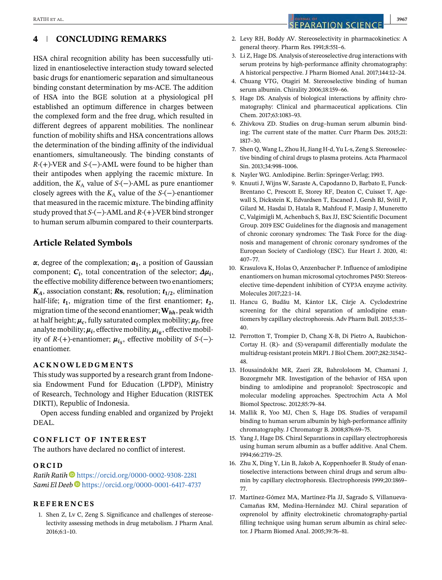#### **4 CONCLUDING REMARKS**

HSA chiral recognition ability has been successfully utilized in enantioselective interaction study toward selected basic drugs for enantiomeric separation and simultaneous binding constant determination by ms-ACE. The addition of HSA into the BGE solution at a physiological pH established an optimum difference in charges between the complexed form and the free drug, which resulted in different degrees of apparent mobilities. The nonlinear function of mobility shifts and HSA concentrations allows the determination of the binding affinity of the individual enantiomers, simultaneously. The binding constants of *R*-(+)-VER and *S*-(−)-AML were found to be higher than their antipodes when applying the racemic mixture. In addition, the  $K_A$  value of  $S$ -(−)-AML as pure enantiomer closely agrees with the  $K_A$  value of the *S*-(−)-enantiomer that measured in the racemic mixture. The binding affinity study proved that *S*-(−)-AML and *R*-(+)-VER bind stronger to human serum albumin compared to their counterparts.

#### **Article Related Symbols**

*α*, degree of the complexation; *a***<sup>1</sup>** , a position of Gaussian  $\mathbf{c}_i$ , total concentration of the selector;  $\Delta \mu_i$ , the effective mobility difference between two enantiomers;  $K_A$ , association constant; **Rs**, resolution;  $t_{1/2}$ , elimination half-life;  $t_1$ , migration time of the first enantiomer;  $t_2$ , migration time of the second enantiomer;**W***hh*, peak width at half height;  $\mu_c$ , fully saturated complex mobility;  $\mu_f$ , free analyte mobility;  $\mu_i$ , effective mobility,  $\mu_{i_R}$ , effective mobility of *R*-(+)-enantiomer;  $\mu_{i_S}$ , effective mobility of *S*-(−)enantiomer.

#### **ACKNOWLEDGMENTS**

This study was supported by a research grant from Indonesia Endowment Fund for Education (LPDP), Ministry of Research, Technology and Higher Education (RISTEK DIKTI), Republic of Indonesia.

Open access funding enabled and organized by Projekt DEAL.

#### **CONFLICT OF INTEREST**

The authors have declared no conflict of interest.

#### **ORCID**

*Ratih Ratih* https://orcid.org/0000-0002-9308-2281 *Sami El Deeb* https://orcid.org/0000-0001-6417-4737

#### **REFERENCES**

1. Shen Z, Lv C, Zeng S. Significance and challenges of stereoselectivity assessing methods in drug metabolism. J Pharm Anal. 2016;6:1–10.

2. Levy RH, Boddy AV. Stereoselectivity in pharmacokinetics: A general theory. Pharm Res. 1991;8:551–6.

- 3. Li Z, Hage DS. Analysis of stereoselective drug interactions with serum proteins by high-performance affinity chromatography: A historical perspective. J Pharm Biomed Anal. 2017;144:12–24.
- 4. Chuang VTG, Otagiri M. Stereoselective binding of human serum albumin. Chirality 2006;18:159–66.
- 5. Hage DS. Analysis of biological interactions by affinity chromatography: Clinical and pharmaceutical applications. Clin Chem. 2017;63:1083–93.
- 6. Zhivkova ZD. Studies on drug–human serum albumin binding: The current state of the matter. Curr Pharm Des. 2015;21: 1817–30.
- 7. Shen Q, Wang L, Zhou H, Jiang H-d, Yu L-s, Zeng S. Stereoselective binding of chiral drugs to plasma proteins. Acta Pharmacol Sin. 2013;34:998–1006.
- 8. Nayler WG. Amlodipine. Berlin: Springer-Verlag; 1993.
- 9. Knuuti J, Wijns W, Saraste A, Capodanno D, Barbato E, Funck-Brentano C, Prescott E, Storey RF, Deaton C, Cuisset T, Agewall S, Dickstein K, Edvardsen T, Escaned J, Gersh BJ, Svitil P, Gilard M, Hasdai D, Hatala R, Mahfoud F, Masip J, Muneretto C, Valgimigli M, Achenbach S, Bax JJ, ESC Scientific Document Group. 2019 ESC Guidelines for the diagnosis and management of chronic coronary syndromes: The Task Force for the diagnosis and management of chronic coronary syndromes of the European Society of Cardiology (ESC). Eur Heart J. 2020, 41: 407–77.
- 10. Krasulova K, Holas O, Anzenbacher P. Influence of amlodipine enantiomers on human microsomal cytochromes P450: Stereoselective time-dependent inhibition of CYP3A enzyme activity. Molecules 2017;22:1–14.
- 11. Hancu G, Budău M, Kántor LK, Cârje A. Cyclodextrine screening for the chiral separation of amlodipine enantiomers by capillary electrophoresis. Adv Pharm Bull. 2015;5:35– 40.
- 12. Perrotton T, Trompier D, Chang X-B, Di Pietro A, Baubichon-Cortay H. (R)- and (S)-verapamil differentially modulate the multidrug-resistant protein MRP1. J Biol Chem. 2007;282:31542– 48.
- 13. Housaindokht MR, Zaeri ZR, Bahrololoom M, Chamani J, Bozorgmehr MR. Investigation of the behavior of HSA upon binding to amlodipine and propranolol: Spectroscopic and molecular modeling approaches. Spectrochim Acta A Mol Biomol Spectrosc. 2012;85:79–84.
- 14. Mallik R, Yoo MJ, Chen S, Hage DS. Studies of verapamil binding to human serum albumin by high-performance affinity chromatography. J Chromatogr B. 2008;876:69–75.
- 15. Yang J, Hage DS. Chiral Separations in capillary electrophoresis using human serum albumin as a buffer additive. Anal Chem. 1994;66:2719–25.
- 16. Zhu X, Ding Y, Lin B, Jakob A, Koppenhoefer B. Study of enantioselective interactions between chiral drugs and serum albumin by capillary electrophoresis. Electrophoresis 1999;20:1869– 77.
- 17. Martínez-Gómez MA, Martínez-Pla JJ, Sagrado S, Villanueva-Camañas RM, Medina-Hernández MJ. Chiral separation of oxprenolol by affinity electrokinetic chromatography-partial filling technique using human serum albumin as chiral selector. J Pharm Biomed Anal. 2005;39:76–81.